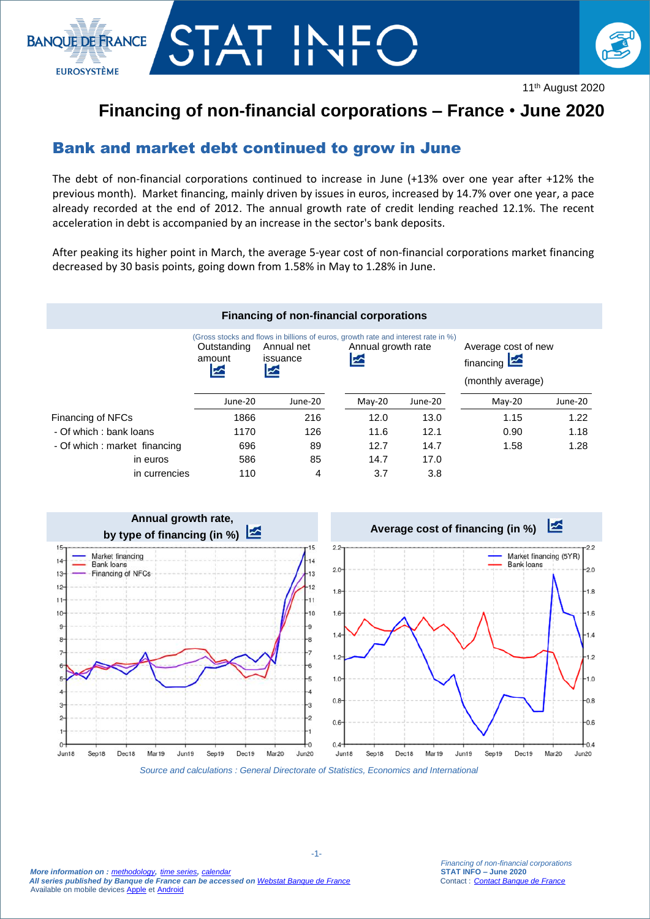



11th August 2020

## **Financing of non-financial corporations – France** • **June 2020**

## Bank and market debt continued to grow in June

The debt of non-financial corporations continued to increase in June (+13% over one year after +12% the previous month). Market financing, mainly driven by issues in euros, increased by 14.7% over one year, a pace already recorded at the end of 2012. The annual growth rate of credit lending reached 12.1%. The recent acceleration in debt is accompanied by an increase in the sector's bank deposits.

After peaking its higher point in March, the average 5-year cost of non-financial corporations market financing decreased by 30 basis points, going down from 1.58% in May to 1.28% in June.





*Source and calculations : General Directorate of Statistics, Economics and International*